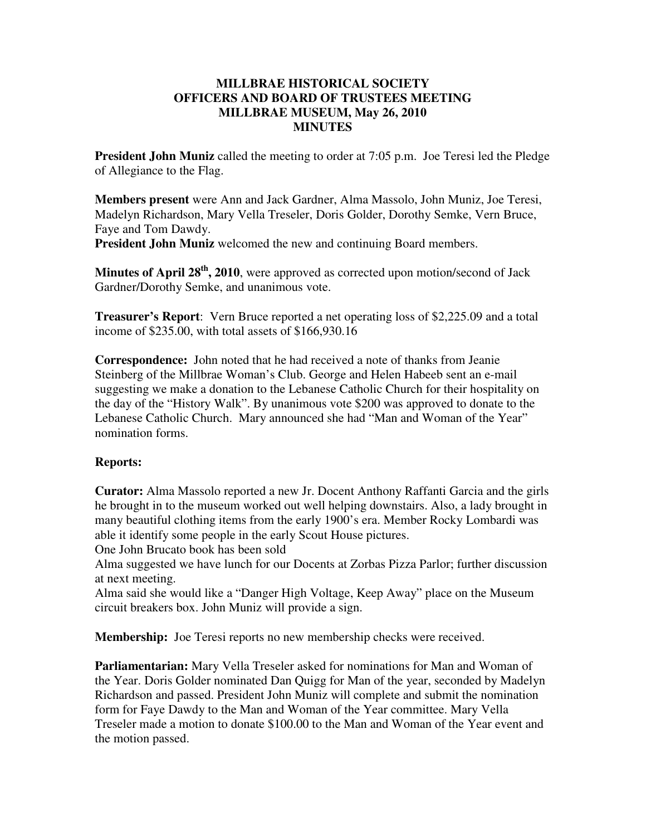## **MILLBRAE HISTORICAL SOCIETY OFFICERS AND BOARD OF TRUSTEES MEETING MILLBRAE MUSEUM, May 26, 2010 MINUTES**

**President John Muniz** called the meeting to order at 7:05 p.m. Joe Teresi led the Pledge of Allegiance to the Flag.

**Members present** were Ann and Jack Gardner, Alma Massolo, John Muniz, Joe Teresi, Madelyn Richardson, Mary Vella Treseler, Doris Golder, Dorothy Semke, Vern Bruce, Faye and Tom Dawdy.

**President John Muniz** welcomed the new and continuing Board members.

**Minutes of April 28th, 2010**, were approved as corrected upon motion/second of Jack Gardner/Dorothy Semke, and unanimous vote.

**Treasurer's Report**: Vern Bruce reported a net operating loss of \$2,225.09 and a total income of \$235.00, with total assets of \$166,930.16

**Correspondence:** John noted that he had received a note of thanks from Jeanie Steinberg of the Millbrae Woman's Club. George and Helen Habeeb sent an e-mail suggesting we make a donation to the Lebanese Catholic Church for their hospitality on the day of the "History Walk". By unanimous vote \$200 was approved to donate to the Lebanese Catholic Church. Mary announced she had "Man and Woman of the Year" nomination forms.

## **Reports:**

**Curator:** Alma Massolo reported a new Jr. Docent Anthony Raffanti Garcia and the girls he brought in to the museum worked out well helping downstairs. Also, a lady brought in many beautiful clothing items from the early 1900's era. Member Rocky Lombardi was able it identify some people in the early Scout House pictures.

One John Brucato book has been sold

Alma suggested we have lunch for our Docents at Zorbas Pizza Parlor; further discussion at next meeting.

Alma said she would like a "Danger High Voltage, Keep Away" place on the Museum circuit breakers box. John Muniz will provide a sign.

**Membership:** Joe Teresi reports no new membership checks were received.

**Parliamentarian:** Mary Vella Treseler asked for nominations for Man and Woman of the Year. Doris Golder nominated Dan Quigg for Man of the year, seconded by Madelyn Richardson and passed. President John Muniz will complete and submit the nomination form for Faye Dawdy to the Man and Woman of the Year committee. Mary Vella Treseler made a motion to donate \$100.00 to the Man and Woman of the Year event and the motion passed.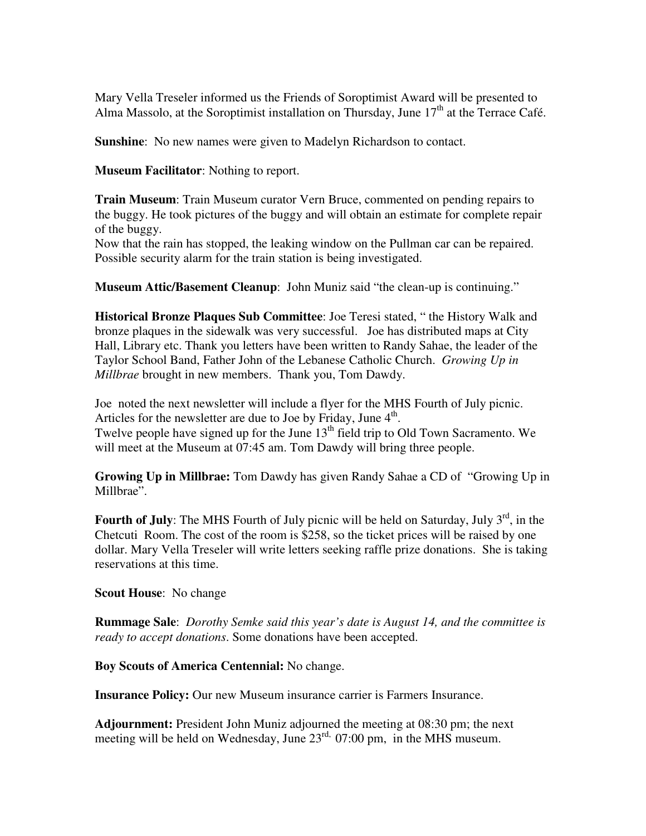Mary Vella Treseler informed us the Friends of Soroptimist Award will be presented to Alma Massolo, at the Soroptimist installation on Thursday, June  $17<sup>th</sup>$  at the Terrace Café.

**Sunshine:** No new names were given to Madelyn Richardson to contact.

**Museum Facilitator**: Nothing to report.

**Train Museum**: Train Museum curator Vern Bruce, commented on pending repairs to the buggy. He took pictures of the buggy and will obtain an estimate for complete repair of the buggy.

Now that the rain has stopped, the leaking window on the Pullman car can be repaired. Possible security alarm for the train station is being investigated.

**Museum Attic/Basement Cleanup**: John Muniz said "the clean-up is continuing."

**Historical Bronze Plaques Sub Committee**: Joe Teresi stated, " the History Walk and bronze plaques in the sidewalk was very successful. Joe has distributed maps at City Hall, Library etc. Thank you letters have been written to Randy Sahae, the leader of the Taylor School Band, Father John of the Lebanese Catholic Church. *Growing Up in Millbrae* brought in new members. Thank you, Tom Dawdy.

Joe noted the next newsletter will include a flyer for the MHS Fourth of July picnic. Articles for the newsletter are due to Joe by Friday, June  $4<sup>th</sup>$ . Twelve people have signed up for the June  $13<sup>th</sup>$  field trip to Old Town Sacramento. We will meet at the Museum at 07:45 am. Tom Dawdy will bring three people.

**Growing Up in Millbrae:** Tom Dawdy has given Randy Sahae a CD of "Growing Up in Millbrae".

**Fourth of July**: The MHS Fourth of July picnic will be held on Saturday, July 3<sup>rd</sup>, in the Chetcuti Room. The cost of the room is \$258, so the ticket prices will be raised by one dollar. Mary Vella Treseler will write letters seeking raffle prize donations. She is taking reservations at this time.

**Scout House**: No change

**Rummage Sale**: *Dorothy Semke said this year's date is August 14, and the committee is ready to accept donations*. Some donations have been accepted.

**Boy Scouts of America Centennial:** No change.

**Insurance Policy:** Our new Museum insurance carrier is Farmers Insurance.

**Adjournment:** President John Muniz adjourned the meeting at 08:30 pm; the next meeting will be held on Wednesday, June 23<sup>rd,</sup> 07:00 pm, in the MHS museum.